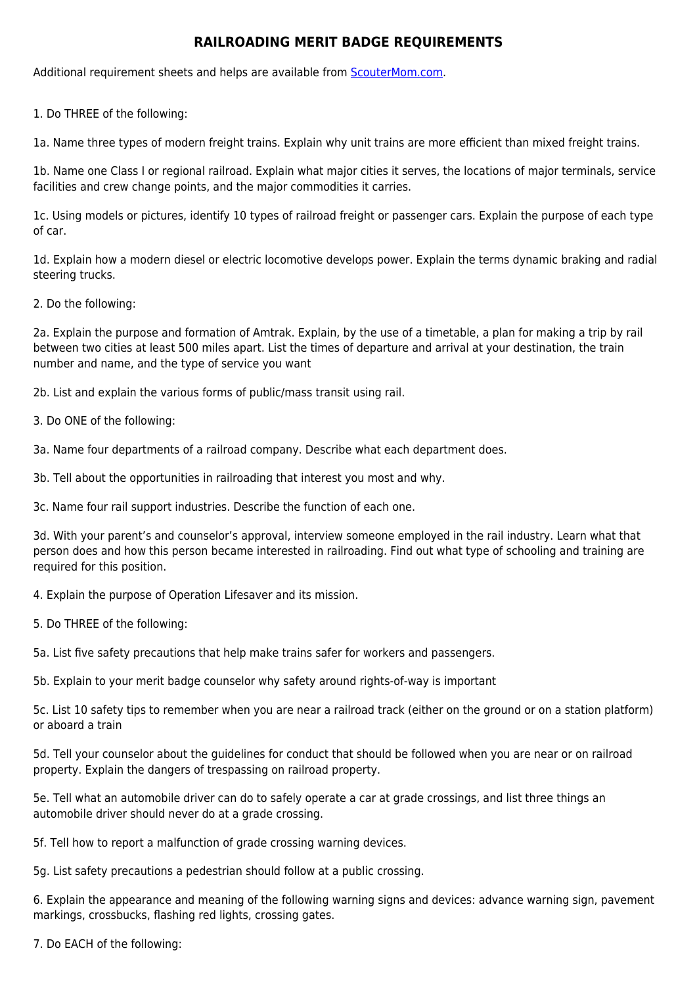## **RAILROADING MERIT BADGE REQUIREMENTS**

Additional requirement sheets and helps are available from [ScouterMom.com](http://scoutermom.com).

1. Do THREE of the following:

1a. Name three types of modern freight trains. Explain why unit trains are more efficient than mixed freight trains.

1b. Name one Class I or regional railroad. Explain what major cities it serves, the locations of major terminals, service facilities and crew change points, and the major commodities it carries.

1c. Using models or pictures, identify 10 types of railroad freight or passenger cars. Explain the purpose of each type of car.

1d. Explain how a modern diesel or electric locomotive develops power. Explain the terms dynamic braking and radial steering trucks.

2. Do the following:

2a. Explain the purpose and formation of Amtrak. Explain, by the use of a timetable, a plan for making a trip by rail between two cities at least 500 miles apart. List the times of departure and arrival at your destination, the train number and name, and the type of service you want

2b. List and explain the various forms of public/mass transit using rail.

3. Do ONE of the following:

3a. Name four departments of a railroad company. Describe what each department does.

3b. Tell about the opportunities in railroading that interest you most and why.

3c. Name four rail support industries. Describe the function of each one.

3d. With your parent's and counselor's approval, interview someone employed in the rail industry. Learn what that person does and how this person became interested in railroading. Find out what type of schooling and training are required for this position.

4. Explain the purpose of Operation Lifesaver and its mission.

5. Do THREE of the following:

5a. List five safety precautions that help make trains safer for workers and passengers.

5b. Explain to your merit badge counselor why safety around rights-of-way is important

5c. List 10 safety tips to remember when you are near a railroad track (either on the ground or on a station platform) or aboard a train

5d. Tell your counselor about the guidelines for conduct that should be followed when you are near or on railroad property. Explain the dangers of trespassing on railroad property.

5e. Tell what an automobile driver can do to safely operate a car at grade crossings, and list three things an automobile driver should never do at a grade crossing.

5f. Tell how to report a malfunction of grade crossing warning devices.

5g. List safety precautions a pedestrian should follow at a public crossing.

6. Explain the appearance and meaning of the following warning signs and devices: advance warning sign, pavement markings, crossbucks, flashing red lights, crossing gates.

7. Do EACH of the following: